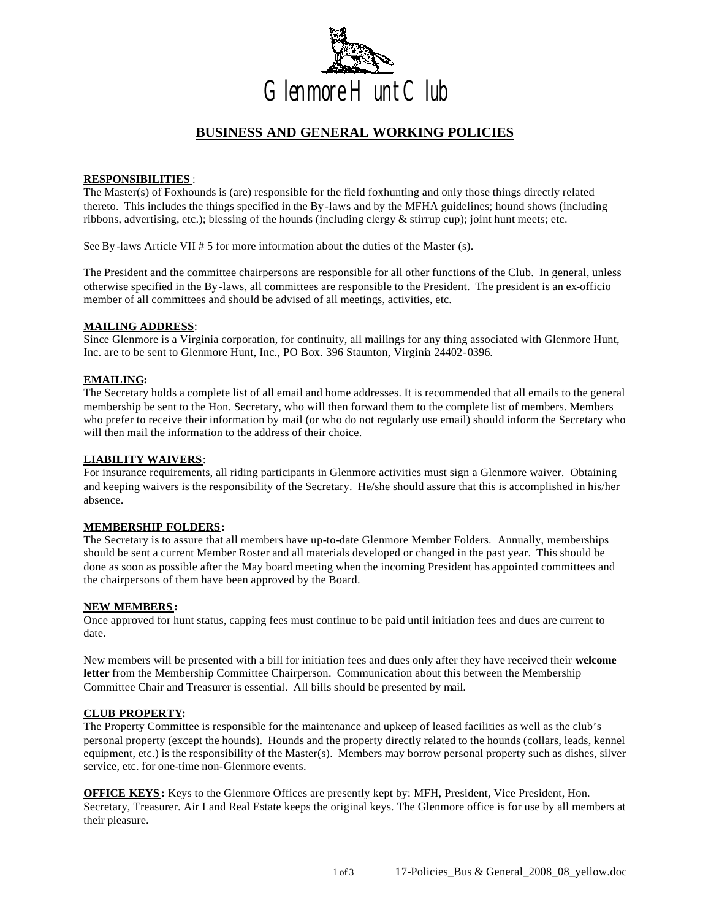

# **BUSINESS AND GENERAL WORKING POLICIES**

#### **RESPONSIBILITIES** :

The Master(s) of Foxhounds is (are) responsible for the field foxhunting and only those things directly related thereto. This includes the things specified in the By-laws and by the MFHA guidelines; hound shows (including ribbons, advertising, etc.); blessing of the hounds (including clergy & stirrup cup); joint hunt meets; etc.

See By -laws Article VII # 5 for more information about the duties of the Master (s).

The President and the committee chairpersons are responsible for all other functions of the Club. In general, unless otherwise specified in the By-laws, all committees are responsible to the President. The president is an ex-officio member of all committees and should be advised of all meetings, activities, etc.

#### **MAILING ADDRESS**:

Since Glenmore is a Virginia corporation, for continuity, all mailings for any thing associated with Glenmore Hunt, Inc. are to be sent to Glenmore Hunt, Inc., PO Box. 396 Staunton, Virginia 24402-0396.

#### **EMAILING:**

The Secretary holds a complete list of all email and home addresses. It is recommended that all emails to the general membership be sent to the Hon. Secretary, who will then forward them to the complete list of members. Members who prefer to receive their information by mail (or who do not regularly use email) should inform the Secretary who will then mail the information to the address of their choice.

### **LIABILITY WAIVERS**:

For insurance requirements, all riding participants in Glenmore activities must sign a Glenmore waiver. Obtaining and keeping waivers is the responsibility of the Secretary. He/she should assure that this is accomplished in his/her absence.

#### **MEMBERSHIP FOLDERS:**

The Secretary is to assure that all members have up-to-date Glenmore Member Folders. Annually, memberships should be sent a current Member Roster and all materials developed or changed in the past year. This should be done as soon as possible after the May board meeting when the incoming President has appointed committees and the chairpersons of them have been approved by the Board.

#### **NEW MEMBERS :**

Once approved for hunt status, capping fees must continue to be paid until initiation fees and dues are current to date.

New members will be presented with a bill for initiation fees and dues only after they have received their **welcome letter** from the Membership Committee Chairperson. Communication about this between the Membership Committee Chair and Treasurer is essential. All bills should be presented by mail.

#### **CLUB PROPERTY:**

The Property Committee is responsible for the maintenance and upkeep of leased facilities as well as the club's personal property (except the hounds). Hounds and the property directly related to the hounds (collars, leads, kennel equipment, etc.) is the responsibility of the Master(s). Members may borrow personal property such as dishes, silver service, etc. for one-time non-Glenmore events.

**OFFICE KEYS:** Keys to the Glenmore Offices are presently kept by: MFH, President, Vice President, Hon. Secretary, Treasurer. Air Land Real Estate keeps the original keys. The Glenmore office is for use by all members at their pleasure.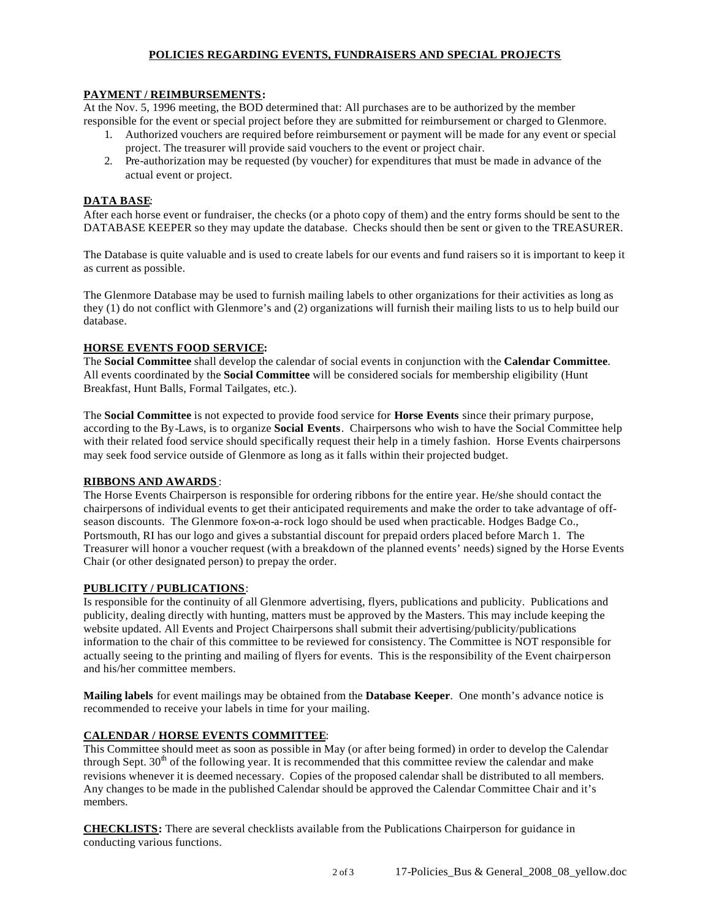## **POLICIES REGARDING EVENTS, FUNDRAISERS AND SPECIAL PROJECTS**

#### **PAYMENT / REIMBURSEMENTS:**

At the Nov. 5, 1996 meeting, the BOD determined that: All purchases are to be authorized by the member responsible for the event or special project before they are submitted for reimbursement or charged to Glenmore.

- 1. Authorized vouchers are required before reimbursement or payment will be made for any event or special project. The treasurer will provide said vouchers to the event or project chair.
- 2. Pre-authorization may be requested (by voucher) for expenditures that must be made in advance of the actual event or project.

### **DATA BASE**:

After each horse event or fundraiser, the checks (or a photo copy of them) and the entry forms should be sent to the DATABASE KEEPER so they may update the database. Checks should then be sent or given to the TREASURER.

The Database is quite valuable and is used to create labels for our events and fund raisers so it is important to keep it as current as possible.

The Glenmore Database may be used to furnish mailing labels to other organizations for their activities as long as they (1) do not conflict with Glenmore's and (2) organizations will furnish their mailing lists to us to help build our database.

#### **HORSE EVENTS FOOD SERVICE:**

The **Social Committee** shall develop the calendar of social events in conjunction with the **Calendar Committee**. All events coordinated by the **Social Committee** will be considered socials for membership eligibility (Hunt Breakfast, Hunt Balls, Formal Tailgates, etc.).

The **Social Committee** is not expected to provide food service for **Horse Events** since their primary purpose, according to the By-Laws, is to organize **Social Events**. Chairpersons who wish to have the Social Committee help with their related food service should specifically request their help in a timely fashion. Horse Events chairpersons may seek food service outside of Glenmore as long as it falls within their projected budget.

### **RIBBONS AND AWARDS** :

The Horse Events Chairperson is responsible for ordering ribbons for the entire year. He/she should contact the chairpersons of individual events to get their anticipated requirements and make the order to take advantage of offseason discounts. The Glenmore fox-on-a-rock logo should be used when practicable. Hodges Badge Co., Portsmouth, RI has our logo and gives a substantial discount for prepaid orders placed before March 1. The Treasurer will honor a voucher request (with a breakdown of the planned events' needs) signed by the Horse Events Chair (or other designated person) to prepay the order.

#### **PUBLICITY / PUBLICATIONS**:

Is responsible for the continuity of all Glenmore advertising, flyers, publications and publicity. Publications and publicity, dealing directly with hunting, matters must be approved by the Masters. This may include keeping the website updated. All Events and Project Chairpersons shall submit their advertising/publicity/publications information to the chair of this committee to be reviewed for consistency. The Committee is NOT responsible for actually seeing to the printing and mailing of flyers for events. This is the responsibility of the Event chairperson and his/her committee members.

**Mailing labels** for event mailings may be obtained from the **Database Keeper**. One month's advance notice is recommended to receive your labels in time for your mailing.

#### **CALENDAR / HORSE EVENTS COMMITTEE**:

This Committee should meet as soon as possible in May (or after being formed) in order to develop the Calendar through Sept. 30<sup>th</sup> of the following year. It is recommended that this committee review the calendar and make revisions whenever it is deemed necessary. Copies of the proposed calendar shall be distributed to all members. Any changes to be made in the published Calendar should be approved the Calendar Committee Chair and it's members.

**CHECKLISTS:** There are several checklists available from the Publications Chairperson for guidance in conducting various functions.